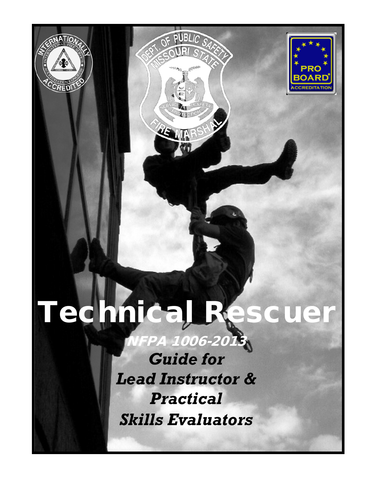

# Technica, Rescuer

PUBLIC SA

PRO

 $Q_{\mathsf{F}}$ 

NFPA 1006-2013 *Guide for Lead Instructor & Practical Skills Evaluators*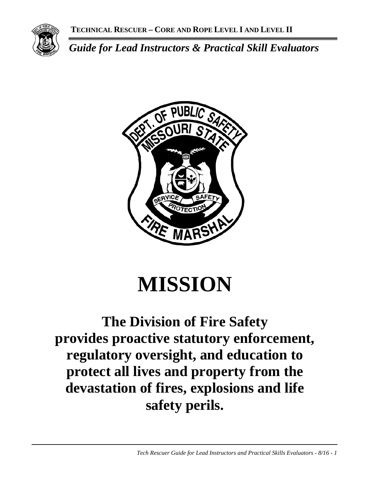

*Guide for Lead Instructors & Practical Skill Evaluators*



## **MISSION**

**The Division of Fire Safety provides proactive statutory enforcement, regulatory oversight, and education to protect all lives and property from the devastation of fires, explosions and life safety perils.**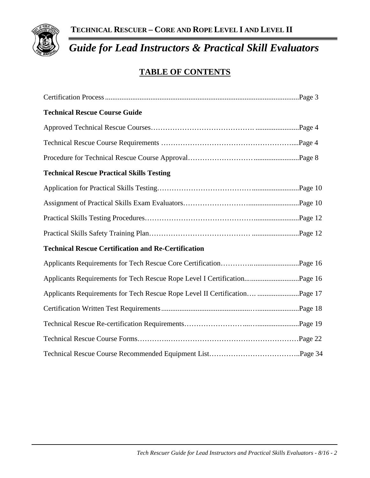

## *Guide for Lead Instructors & Practical Skill Evaluators*

#### **TABLE OF CONTENTS**

| <b>Technical Rescue Course Guide</b>                                        |
|-----------------------------------------------------------------------------|
|                                                                             |
|                                                                             |
|                                                                             |
| <b>Technical Rescue Practical Skills Testing</b>                            |
|                                                                             |
|                                                                             |
|                                                                             |
|                                                                             |
| <b>Technical Rescue Certification and Re-Certification</b>                  |
|                                                                             |
| Applicants Requirements for Tech Rescue Rope Level I CertificationPage 16   |
| Applicants Requirements for Tech Rescue Rope Level II Certification Page 17 |
|                                                                             |
|                                                                             |
|                                                                             |
|                                                                             |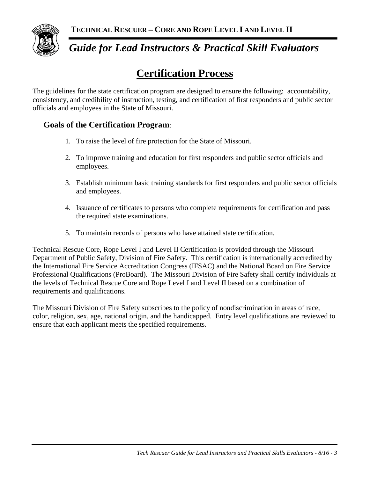

*Guide for Lead Instructors & Practical Skill Evaluators*

## **Certification Process**

The guidelines for the state certification program are designed to ensure the following: accountability, consistency, and credibility of instruction, testing, and certification of first responders and public sector officials and employees in the State of Missouri.

#### **Goals of the Certification Program**:

- 1. To raise the level of fire protection for the State of Missouri.
- 2. To improve training and education for first responders and public sector officials and employees.
- 3. Establish minimum basic training standards for first responders and public sector officials and employees.
- 4. Issuance of certificates to persons who complete requirements for certification and pass the required state examinations.
- 5. To maintain records of persons who have attained state certification.

Technical Rescue Core, Rope Level I and Level II Certification is provided through the Missouri Department of Public Safety, Division of Fire Safety. This certification is internationally accredited by the International Fire Service Accreditation Congress (IFSAC) and the National Board on Fire Service Professional Qualifications (ProBoard). The Missouri Division of Fire Safety shall certify individuals at the levels of Technical Rescue Core and Rope Level I and Level II based on a combination of requirements and qualifications.

The Missouri Division of Fire Safety subscribes to the policy of nondiscrimination in areas of race, color, religion, sex, age, national origin, and the handicapped. Entry level qualifications are reviewed to ensure that each applicant meets the specified requirements.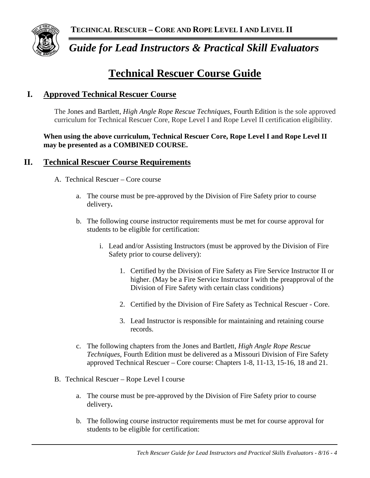

*Guide for Lead Instructors & Practical Skill Evaluators*

## **Technical Rescuer Course Guide**

#### **I. Approved Technical Rescuer Course**

The Jones and Bartlett, *High Angle Rope Rescue Techniques*, Fourth Edition is the sole approved curriculum for Technical Rescuer Core, Rope Level I and Rope Level II certification eligibility.

**When using the above curriculum, Technical Rescuer Core, Rope Level I and Rope Level II may be presented as a COMBINED COURSE.** 

#### **II. Technical Rescuer Course Requirements**

- A. Technical Rescuer Core course
	- a. The course must be pre-approved by the Division of Fire Safety prior to course delivery**.**
	- b. The following course instructor requirements must be met for course approval for students to be eligible for certification:
		- i. Lead and/or Assisting Instructors (must be approved by the Division of Fire Safety prior to course delivery):
			- 1. Certified by the Division of Fire Safety as Fire Service Instructor II or higher. (May be a Fire Service Instructor I with the preapproval of the Division of Fire Safety with certain class conditions)
			- 2. Certified by the Division of Fire Safety as Technical Rescuer Core.
			- 3. Lead Instructor is responsible for maintaining and retaining course records.
	- c. The following chapters from the Jones and Bartlett, *High Angle Rope Rescue Techniques*, Fourth Edition must be delivered as a Missouri Division of Fire Safety approved Technical Rescuer – Core course: Chapters 1-8, 11-13, 15-16, 18 and 21.
- B. Technical Rescuer Rope Level I course
	- a. The course must be pre-approved by the Division of Fire Safety prior to course delivery**.**
	- b. The following course instructor requirements must be met for course approval for students to be eligible for certification: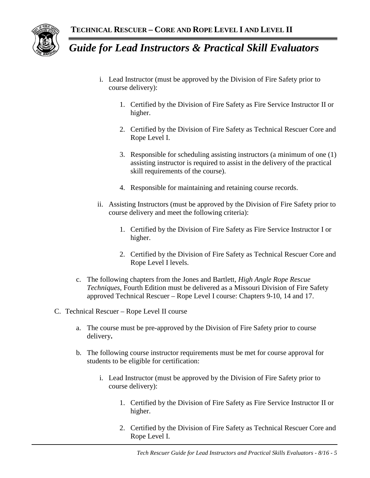

- i. Lead Instructor (must be approved by the Division of Fire Safety prior to course delivery):
	- 1. Certified by the Division of Fire Safety as Fire Service Instructor II or higher.
	- 2. Certified by the Division of Fire Safety as Technical Rescuer Core and Rope Level I.
	- 3. Responsible for scheduling assisting instructors (a minimum of one (1) assisting instructor is required to assist in the delivery of the practical skill requirements of the course).
	- 4. Responsible for maintaining and retaining course records.
- ii. Assisting Instructors (must be approved by the Division of Fire Safety prior to course delivery and meet the following criteria):
	- 1. Certified by the Division of Fire Safety as Fire Service Instructor I or higher.
	- 2. Certified by the Division of Fire Safety as Technical Rescuer Core and Rope Level I levels.
- c. The following chapters from the Jones and Bartlett, *High Angle Rope Rescue Techniques*, Fourth Edition must be delivered as a Missouri Division of Fire Safety approved Technical Rescuer – Rope Level I course: Chapters 9-10, 14 and 17.
- C. Technical Rescuer Rope Level II course
	- a. The course must be pre-approved by the Division of Fire Safety prior to course delivery**.**
	- b. The following course instructor requirements must be met for course approval for students to be eligible for certification:
		- i. Lead Instructor (must be approved by the Division of Fire Safety prior to course delivery):
			- 1. Certified by the Division of Fire Safety as Fire Service Instructor II or higher.
			- 2. Certified by the Division of Fire Safety as Technical Rescuer Core and Rope Level I.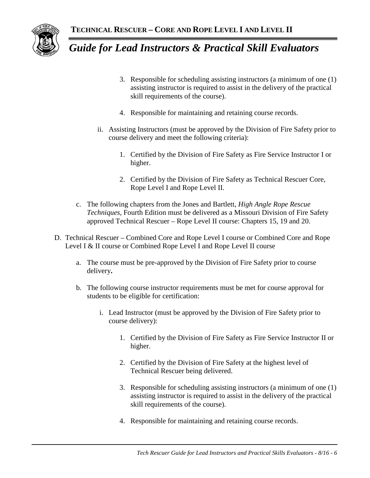

- 3. Responsible for scheduling assisting instructors (a minimum of one (1) assisting instructor is required to assist in the delivery of the practical skill requirements of the course).
- 4. Responsible for maintaining and retaining course records.
- ii. Assisting Instructors (must be approved by the Division of Fire Safety prior to course delivery and meet the following criteria):
	- 1. Certified by the Division of Fire Safety as Fire Service Instructor I or higher.
	- 2. Certified by the Division of Fire Safety as Technical Rescuer Core, Rope Level I and Rope Level II.
- c. The following chapters from the Jones and Bartlett, *High Angle Rope Rescue Techniques*, Fourth Edition must be delivered as a Missouri Division of Fire Safety approved Technical Rescuer – Rope Level II course: Chapters 15, 19 and 20.
- D. Technical Rescuer Combined Core and Rope Level I course or Combined Core and Rope Level I & II course or Combined Rope Level I and Rope Level II course
	- a. The course must be pre-approved by the Division of Fire Safety prior to course delivery**.**
	- b. The following course instructor requirements must be met for course approval for students to be eligible for certification:
		- i. Lead Instructor (must be approved by the Division of Fire Safety prior to course delivery):
			- 1. Certified by the Division of Fire Safety as Fire Service Instructor II or higher.
			- 2. Certified by the Division of Fire Safety at the highest level of Technical Rescuer being delivered.
			- 3. Responsible for scheduling assisting instructors (a minimum of one (1) assisting instructor is required to assist in the delivery of the practical skill requirements of the course).
			- 4. Responsible for maintaining and retaining course records.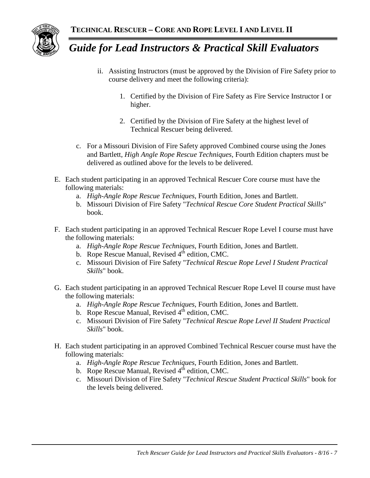

- ii. Assisting Instructors (must be approved by the Division of Fire Safety prior to course delivery and meet the following criteria):
	- 1. Certified by the Division of Fire Safety as Fire Service Instructor I or higher.
	- 2. Certified by the Division of Fire Safety at the highest level of Technical Rescuer being delivered.
- c. For a Missouri Division of Fire Safety approved Combined course using the Jones and Bartlett, *High Angle Rope Rescue Techniques*, Fourth Edition chapters must be delivered as outlined above for the levels to be delivered.
- E. Each student participating in an approved Technical Rescuer Core course must have the following materials:
	- a. *High-Angle Rope Rescue Techniques,* Fourth Edition, Jones and Bartlett.
	- b. Missouri Division of Fire Safety "*Technical Rescue Core Student Practical Skills*" book.
- F. Each student participating in an approved Technical Rescuer Rope Level I course must have the following materials:
	- a. *High-Angle Rope Rescue Techniques,* Fourth Edition, Jones and Bartlett.
	- b. Rope Rescue Manual, Revised  $4<sup>th</sup>$  edition, CMC.
	- c. Missouri Division of Fire Safety "*Technical Rescue Rope Level I Student Practical Skills*" book.
- G. Each student participating in an approved Technical Rescuer Rope Level II course must have the following materials:
	- a. *High-Angle Rope Rescue Techniques,* Fourth Edition, Jones and Bartlett.
	- b. Rope Rescue Manual, Revised  $4<sup>th</sup>$  edition, CMC.
	- c. Missouri Division of Fire Safety "*Technical Rescue Rope Level II Student Practical Skills*" book.
- H. Each student participating in an approved Combined Technical Rescuer course must have the following materials:
	- a. *High-Angle Rope Rescue Techniques,* Fourth Edition, Jones and Bartlett.
	- b. Rope Rescue Manual, Revised  $4<sup>th</sup>$  edition, CMC.
	- c. Missouri Division of Fire Safety "*Technical Rescue Student Practical Skills*" book for the levels being delivered.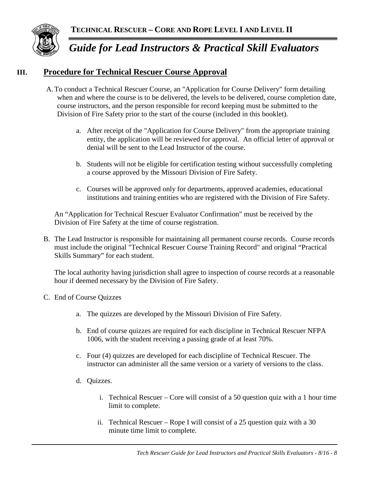

#### **III. Procedure for Technical Rescuer Course Approval**

- A.To conduct a Technical Rescuer Course, an "Application for Course Delivery" form detailing when and where the course is to be delivered, the levels to be delivered, course completion date, course instructors, and the person responsible for record keeping must be submitted to the Division of Fire Safety prior to the start of the course (included in this booklet).
	- a. After receipt of the "Application for Course Delivery" from the appropriate training entity, the application will be reviewed for approval. An official letter of approval or denial will be sent to the Lead Instructor of the course.
	- b. Students will not be eligible for certification testing without successfully completing a course approved by the Missouri Division of Fire Safety.
	- c. Courses will be approved only for departments, approved academies, educational institutions and training entities who are registered with the Division of Fire Safety.

An "Application for Technical Rescuer Evaluator Confirmation" must be received by the Division of Fire Safety at the time of course registration.

B. The Lead Instructor is responsible for maintaining all permanent course records. Course records must include the original "Technical Rescuer Course Training Record" and original "Practical Skills Summary" for each student.

The local authority having jurisdiction shall agree to inspection of course records at a reasonable hour if deemed necessary by the Division of Fire Safety.

- C. End of Course Quizzes
	- a. The quizzes are developed by the Missouri Division of Fire Safety.
	- b. End of course quizzes are required for each discipline in Technical Rescuer NFPA 1006, with the student receiving a passing grade of at least 70%.
	- c. Four (4) quizzes are developed for each discipline of Technical Rescuer. The instructor can administer all the same version or a variety of versions to the class.
	- d. Quizzes.
		- i. Technical Rescuer Core will consist of a 50 question quiz with a 1 hour time limit to complete.
		- ii. Technical Rescuer Rope I will consist of a 25 question quiz with a 30 minute time limit to complete.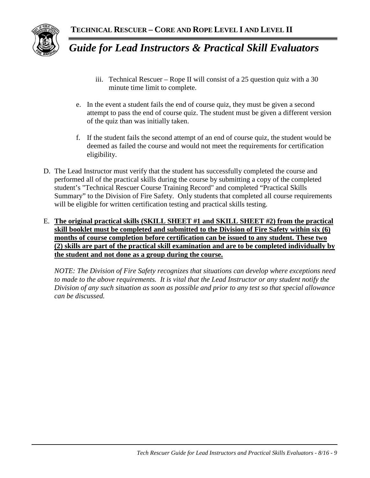

- iii. Technical Rescuer Rope II will consist of a 25 question quiz with a 30 minute time limit to complete.
- e. In the event a student fails the end of course quiz, they must be given a second attempt to pass the end of course quiz. The student must be given a different version of the quiz than was initially taken.
- f. If the student fails the second attempt of an end of course quiz, the student would be deemed as failed the course and would not meet the requirements for certification eligibility.
- D. The Lead Instructor must verify that the student has successfully completed the course and performed all of the practical skills during the course by submitting a copy of the completed student's "Technical Rescuer Course Training Record" and completed "Practical Skills Summary" to the Division of Fire Safety. Only students that completed all course requirements will be eligible for written certification testing and practical skills testing.
- E. **The original practical skills (SKILL SHEET #1 and SKILL SHEET #2) from the practical skill booklet must be completed and submitted to the Division of Fire Safety within six (6) months of course completion before certification can be issued to any student. These two (2) skills are part of the practical skill examination and are to be completed individually by the student and not done as a group during the course.**

*NOTE: The Division of Fire Safety recognizes that situations can develop where exceptions need to made to the above requirements. It is vital that the Lead Instructor or any student notify the Division of any such situation as soon as possible and prior to any test so that special allowance can be discussed.*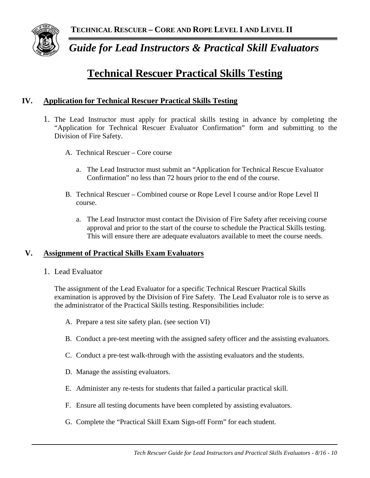

## **Technical Rescuer Practical Skills Testing**

#### **IV. Application for Technical Rescuer Practical Skills Testing**

- 1. The Lead Instructor must apply for practical skills testing in advance by completing the "Application for Technical Rescuer Evaluator Confirmation" form and submitting to the Division of Fire Safety.
	- A. Technical Rescuer Core course
		- a. The Lead Instructor must submit an "Application for Technical Rescue Evaluator Confirmation" no less than 72 hours prior to the end of the course.
	- B. Technical Rescuer Combined course or Rope Level I course and/or Rope Level II course.
		- a. The Lead Instructor must contact the Division of Fire Safety after receiving course approval and prior to the start of the course to schedule the Practical Skills testing. This will ensure there are adequate evaluators available to meet the course needs.

#### **V. Assignment of Practical Skills Exam Evaluators**

1. Lead Evaluator

The assignment of the Lead Evaluator for a specific Technical Rescuer Practical Skills examination is approved by the Division of Fire Safety. The Lead Evaluator role is to serve as the administrator of the Practical Skills testing. Responsibilities include:

- A. Prepare a test site safety plan. (see section VI)
- B. Conduct a pre-test meeting with the assigned safety officer and the assisting evaluators.
- C. Conduct a pre-test walk-through with the assisting evaluators and the students.
- D. Manage the assisting evaluators.
- E. Administer any re-tests for students that failed a particular practical skill.
- F. Ensure all testing documents have been completed by assisting evaluators.
- G. Complete the "Practical Skill Exam Sign-off Form" for each student.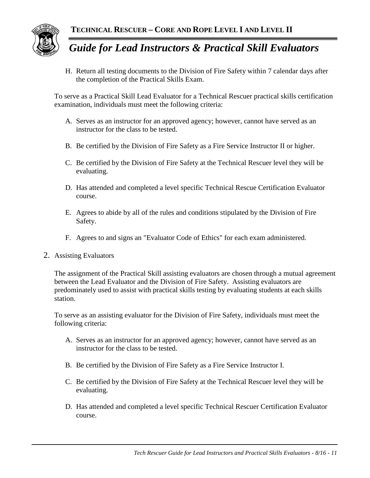



H. Return all testing documents to the Division of Fire Safety within 7 calendar days after the completion of the Practical Skills Exam.

To serve as a Practical Skill Lead Evaluator for a Technical Rescuer practical skills certification examination, individuals must meet the following criteria:

- A. Serves as an instructor for an approved agency; however, cannot have served as an instructor for the class to be tested.
- B. Be certified by the Division of Fire Safety as a Fire Service Instructor II or higher.
- C. Be certified by the Division of Fire Safety at the Technical Rescuer level they will be evaluating.
- D. Has attended and completed a level specific Technical Rescue Certification Evaluator course.
- E. Agrees to abide by all of the rules and conditions stipulated by the Division of Fire Safety.
- F. Agrees to and signs an "Evaluator Code of Ethics" for each exam administered.
- 2. Assisting Evaluators

The assignment of the Practical Skill assisting evaluators are chosen through a mutual agreement between the Lead Evaluator and the Division of Fire Safety. Assisting evaluators are predominately used to assist with practical skills testing by evaluating students at each skills station.

To serve as an assisting evaluator for the Division of Fire Safety, individuals must meet the following criteria:

- A. Serves as an instructor for an approved agency; however, cannot have served as an instructor for the class to be tested.
- B. Be certified by the Division of Fire Safety as a Fire Service Instructor I.
- C. Be certified by the Division of Fire Safety at the Technical Rescuer level they will be evaluating.
- D. Has attended and completed a level specific Technical Rescuer Certification Evaluator course.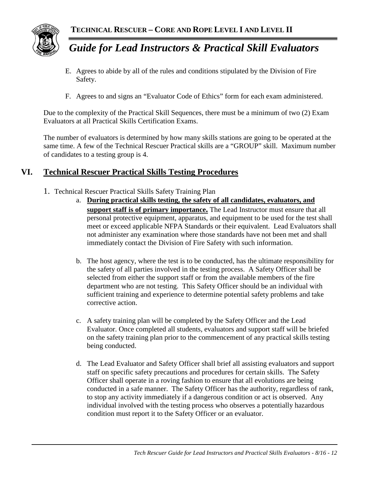

- E. Agrees to abide by all of the rules and conditions stipulated by the Division of Fire Safety.
- F. Agrees to and signs an "Evaluator Code of Ethics" form for each exam administered.

Due to the complexity of the Practical Skill Sequences, there must be a minimum of two (2) Exam Evaluators at all Practical Skills Certification Exams.

The number of evaluators is determined by how many skills stations are going to be operated at the same time. A few of the Technical Rescuer Practical skills are a "GROUP" skill. Maximum number of candidates to a testing group is 4.

#### **VI. Technical Rescuer Practical Skills Testing Procedures**

- 1. Technical Rescuer Practical Skills Safety Training Plan
	- a. **During practical skills testing, the safety of all candidates, evaluators, and support staff is of primary importance.** The Lead Instructor must ensure that all personal protective equipment, apparatus, and equipment to be used for the test shall meet or exceed applicable NFPA Standards or their equivalent. Lead Evaluators shall not administer any examination where those standards have not been met and shall immediately contact the Division of Fire Safety with such information.
	- b. The host agency, where the test is to be conducted, has the ultimate responsibility for the safety of all parties involved in the testing process. A Safety Officer shall be selected from either the support staff or from the available members of the fire department who are not testing. This Safety Officer should be an individual with sufficient training and experience to determine potential safety problems and take corrective action.
	- c. A safety training plan will be completed by the Safety Officer and the Lead Evaluator. Once completed all students, evaluators and support staff will be briefed on the safety training plan prior to the commencement of any practical skills testing being conducted.
	- d. The Lead Evaluator and Safety Officer shall brief all assisting evaluators and support staff on specific safety precautions and procedures for certain skills. The Safety Officer shall operate in a roving fashion to ensure that all evolutions are being conducted in a safe manner. The Safety Officer has the authority, regardless of rank, to stop any activity immediately if a dangerous condition or act is observed. Any individual involved with the testing process who observes a potentially hazardous condition must report it to the Safety Officer or an evaluator.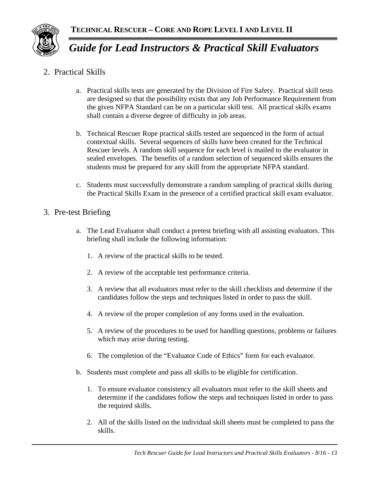

## *Guide for Lead Instructors & Practical Skill Evaluators*

- 2. Practical Skills
	- a. Practical skills tests are generated by the Division of Fire Safety. Practical skill tests are designed so that the possibility exists that any Job Performance Requirement from the given NFPA Standard can be on a particular skill test. All practical skills exams shall contain a diverse degree of difficulty in job areas.
	- b. Technical Rescuer Rope practical skills tested are sequenced in the form of actual contextual skills. Several sequences of skills have been created for the Technical Rescuer levels. A random skill sequence for each level is mailed to the evaluator in sealed envelopes. The benefits of a random selection of sequenced skills ensures the students must be prepared for any skill from the appropriate NFPA standard.
	- c. Students must successfully demonstrate a random sampling of practical skills during the Practical Skills Exam in the presence of a certified practical skill exam evaluator.

#### 3. Pre-test Briefing

- a. The Lead Evaluator shall conduct a pretest briefing with all assisting evaluators. This briefing shall include the following information:
	- 1. A review of the practical skills to be tested.
	- 2. A review of the acceptable test performance criteria.
	- 3. A review that all evaluators must refer to the skill checklists and determine if the candidates follow the steps and techniques listed in order to pass the skill.
	- 4. A review of the proper completion of any forms used in the evaluation.
	- 5. A review of the procedures to be used for handling questions, problems or failures which may arise during testing.
	- 6. The completion of the "Evaluator Code of Ethics" form for each evaluator.
- b. Students must complete and pass all skills to be eligible for certification.
	- 1. To ensure evaluator consistency all evaluators must refer to the skill sheets and determine if the candidates follow the steps and techniques listed in order to pass the required skills.
	- 2. All of the skills listed on the individual skill sheets must be completed to pass the skills.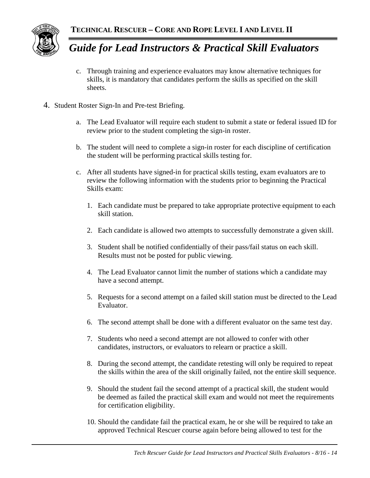

- c. Through training and experience evaluators may know alternative techniques for skills, it is mandatory that candidates perform the skills as specified on the skill sheets.
- 4. Student Roster Sign-In and Pre-test Briefing.
	- a. The Lead Evaluator will require each student to submit a state or federal issued ID for review prior to the student completing the sign-in roster.
	- b. The student will need to complete a sign-in roster for each discipline of certification the student will be performing practical skills testing for.
	- c. After all students have signed-in for practical skills testing, exam evaluators are to review the following information with the students prior to beginning the Practical Skills exam:
		- 1. Each candidate must be prepared to take appropriate protective equipment to each skill station.
		- 2. Each candidate is allowed two attempts to successfully demonstrate a given skill.
		- 3. Student shall be notified confidentially of their pass/fail status on each skill. Results must not be posted for public viewing.
		- 4. The Lead Evaluator cannot limit the number of stations which a candidate may have a second attempt.
		- 5. Requests for a second attempt on a failed skill station must be directed to the Lead Evaluator.
		- 6. The second attempt shall be done with a different evaluator on the same test day.
		- 7. Students who need a second attempt are not allowed to confer with other candidates, instructors, or evaluators to relearn or practice a skill.
		- 8. During the second attempt, the candidate retesting will only be required to repeat the skills within the area of the skill originally failed, not the entire skill sequence.
		- 9. Should the student fail the second attempt of a practical skill, the student would be deemed as failed the practical skill exam and would not meet the requirements for certification eligibility.
		- 10. Should the candidate fail the practical exam, he or she will be required to take an approved Technical Rescuer course again before being allowed to test for the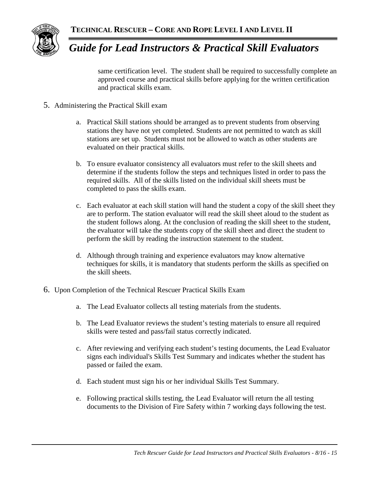

same certification level. The student shall be required to successfully complete an approved course and practical skills before applying for the written certification and practical skills exam.

- 5. Administering the Practical Skill exam
	- a. Practical Skill stations should be arranged as to prevent students from observing stations they have not yet completed. Students are not permitted to watch as skill stations are set up. Students must not be allowed to watch as other students are evaluated on their practical skills.
	- b. To ensure evaluator consistency all evaluators must refer to the skill sheets and determine if the students follow the steps and techniques listed in order to pass the required skills. All of the skills listed on the individual skill sheets must be completed to pass the skills exam.
	- c. Each evaluator at each skill station will hand the student a copy of the skill sheet they are to perform. The station evaluator will read the skill sheet aloud to the student as the student follows along. At the conclusion of reading the skill sheet to the student, the evaluator will take the students copy of the skill sheet and direct the student to perform the skill by reading the instruction statement to the student.
	- d. Although through training and experience evaluators may know alternative techniques for skills, it is mandatory that students perform the skills as specified on the skill sheets.
- 6. Upon Completion of the Technical Rescuer Practical Skills Exam
	- a. The Lead Evaluator collects all testing materials from the students.
	- b. The Lead Evaluator reviews the student's testing materials to ensure all required skills were tested and pass/fail status correctly indicated.
	- c. After reviewing and verifying each student's testing documents, the Lead Evaluator signs each individual's Skills Test Summary and indicates whether the student has passed or failed the exam.
	- d. Each student must sign his or her individual Skills Test Summary.
	- e. Following practical skills testing, the Lead Evaluator will return the all testing documents to the Division of Fire Safety within 7 working days following the test.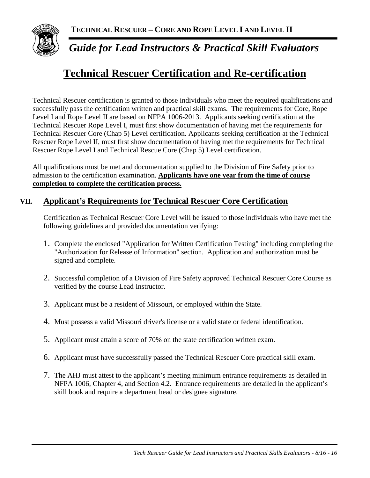

## **Technical Rescuer Certification and Re-certification**

Technical Rescuer certification is granted to those individuals who meet the required qualifications and successfully pass the certification written and practical skill exams. The requirements for Core, Rope Level I and Rope Level II are based on NFPA 1006-2013. Applicants seeking certification at the Technical Rescuer Rope Level I, must first show documentation of having met the requirements for Technical Rescuer Core (Chap 5) Level certification. Applicants seeking certification at the Technical Rescuer Rope Level II, must first show documentation of having met the requirements for Technical Rescuer Rope Level I and Technical Rescue Core (Chap 5) Level certification.

All qualifications must be met and documentation supplied to the Division of Fire Safety prior to admission to the certification examination. **Applicants have one year from the time of course completion to complete the certification process.** 

#### **VII. Applicant's Requirements for Technical Rescuer Core Certification**

Certification as Technical Rescuer Core Level will be issued to those individuals who have met the following guidelines and provided documentation verifying:

- 1. Complete the enclosed "Application for Written Certification Testing" including completing the "Authorization for Release of Information" section. Application and authorization must be signed and complete.
- 2. Successful completion of a Division of Fire Safety approved Technical Rescuer Core Course as verified by the course Lead Instructor.
- 3. Applicant must be a resident of Missouri, or employed within the State.
- 4. Must possess a valid Missouri driver's license or a valid state or federal identification.
- 5. Applicant must attain a score of 70% on the state certification written exam.
- 6. Applicant must have successfully passed the Technical Rescuer Core practical skill exam.
- 7. The AHJ must attest to the applicant's meeting minimum entrance requirements as detailed in NFPA 1006, Chapter 4, and Section 4.2. Entrance requirements are detailed in the applicant's skill book and require a department head or designee signature.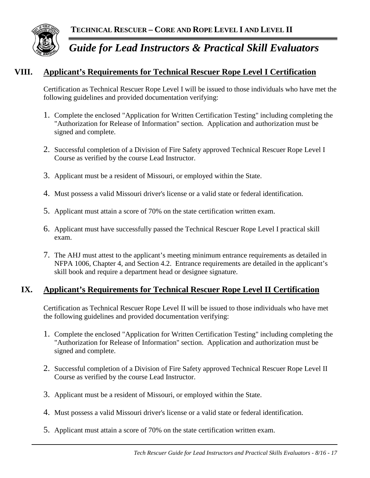

*Guide for Lead Instructors & Practical Skill Evaluators*

#### **VIII. Applicant's Requirements for Technical Rescuer Rope Level I Certification**

Certification as Technical Rescuer Rope Level I will be issued to those individuals who have met the following guidelines and provided documentation verifying:

- 1. Complete the enclosed "Application for Written Certification Testing" including completing the "Authorization for Release of Information" section. Application and authorization must be signed and complete.
- 2. Successful completion of a Division of Fire Safety approved Technical Rescuer Rope Level I Course as verified by the course Lead Instructor.
- 3. Applicant must be a resident of Missouri, or employed within the State.
- 4. Must possess a valid Missouri driver's license or a valid state or federal identification.
- 5. Applicant must attain a score of 70% on the state certification written exam.
- 6. Applicant must have successfully passed the Technical Rescuer Rope Level I practical skill exam.
- 7. The AHJ must attest to the applicant's meeting minimum entrance requirements as detailed in NFPA 1006, Chapter 4, and Section 4.2. Entrance requirements are detailed in the applicant's skill book and require a department head or designee signature.

#### **IX. Applicant's Requirements for Technical Rescuer Rope Level II Certification**

Certification as Technical Rescuer Rope Level II will be issued to those individuals who have met the following guidelines and provided documentation verifying:

- 1. Complete the enclosed "Application for Written Certification Testing" including completing the "Authorization for Release of Information" section. Application and authorization must be signed and complete.
- 2. Successful completion of a Division of Fire Safety approved Technical Rescuer Rope Level II Course as verified by the course Lead Instructor.
- 3. Applicant must be a resident of Missouri, or employed within the State.
- 4. Must possess a valid Missouri driver's license or a valid state or federal identification.
- 5. Applicant must attain a score of 70% on the state certification written exam.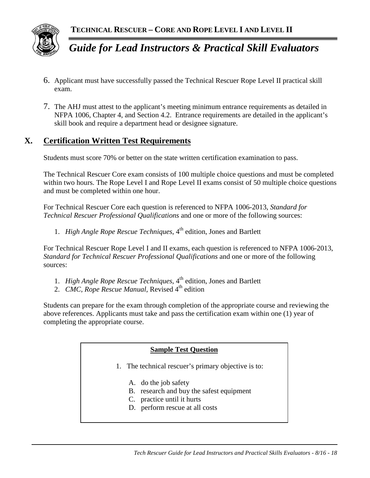

- 6. Applicant must have successfully passed the Technical Rescuer Rope Level II practical skill exam.
- 7. The AHJ must attest to the applicant's meeting minimum entrance requirements as detailed in NFPA 1006, Chapter 4, and Section 4.2. Entrance requirements are detailed in the applicant's skill book and require a department head or designee signature.

#### **X. Certification Written Test Requirements**

Students must score 70% or better on the state written certification examination to pass.

The Technical Rescuer Core exam consists of 100 multiple choice questions and must be completed within two hours. The Rope Level I and Rope Level II exams consist of 50 multiple choice questions and must be completed within one hour.

For Technical Rescuer Core each question is referenced to NFPA 1006-2013, *Standard for Technical Rescuer Professional Qualifications* and one or more of the following sources:

1. *High Angle Rope Rescue Techniques*, 4<sup>th</sup> edition, Jones and Bartlett

For Technical Rescuer Rope Level I and II exams, each question is referenced to NFPA 1006-2013, *Standard for Technical Rescuer Professional Qualifications* and one or more of the following sources:

- 1. *High Angle Rope Rescue Techniques*, 4<sup>th</sup> edition, Jones and Bartlett
- 2. *CMC, Rope Rescue Manual*, Revised 4<sup>th</sup> edition

Students can prepare for the exam through completion of the appropriate course and reviewing the above references. Applicants must take and pass the certification exam within one (1) year of completing the appropriate course.

#### **Sample Test Question**

- 1. The technical rescuer's primary objective is to:
	- A. do the job safety
	- B. research and buy the safest equipment
	- C. practice until it hurts
	- D. perform rescue at all costs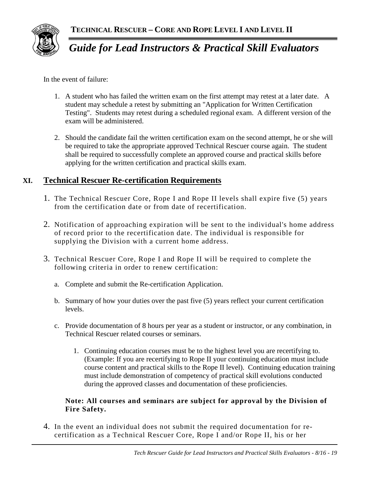

## *Guide for Lead Instructors & Practical Skill Evaluators*

In the event of failure:

- 1. A student who has failed the written exam on the first attempt may retest at a later date. A student may schedule a retest by submitting an "Application for Written Certification Testing". Students may retest during a scheduled regional exam. A different version of the exam will be administered.
- 2. Should the candidate fail the written certification exam on the second attempt, he or she will be required to take the appropriate approved Technical Rescuer course again. The student shall be required to successfully complete an approved course and practical skills before applying for the written certification and practical skills exam.

#### **XI. Technical Rescuer Re-certification Requirements**

- 1. The Technical Rescuer Core, Rope I and Rope II levels shall expire five (5) years from the certification date or from date of recertification.
- 2. Notification of approaching expiration will be sent to the individual's home address of record prior to the recertification date. The individual is responsible for supplying the Division with a current home address.
- 3. Technical Rescuer Core, Rope I and Rope II will be required to complete the following criteria in order to renew certification:
	- a. Complete and submit the Re-certification Application.
	- b. Summary of how your duties over the past five (5) years reflect your current certification levels.
	- c. Provide documentation of 8 hours per year as a student or instructor, or any combination, in Technical Rescuer related courses or seminars.
		- 1. Continuing education courses must be to the highest level you are recertifying to. (Example: If you are recertifying to Rope II your continuing education must include course content and practical skills to the Rope II level). Continuing education training must include demonstration of competency of practical skill evolutions conducted during the approved classes and documentation of these proficiencies.

#### **Note: All courses and seminars are subject for approval by the Division of Fire Safety.**

4. In the event an individual does not submit the required documentation for recertification as a Technical Rescuer Core, Rope I and/or Rope II, his or her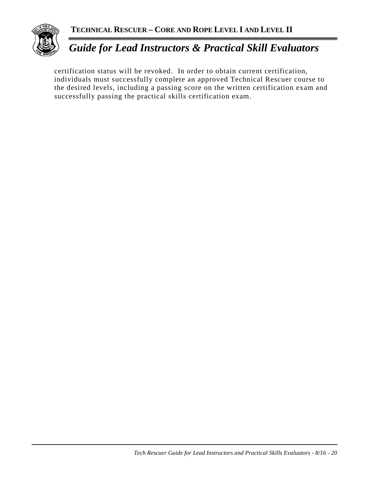

certification status will be revoked. In order to obtain current certification, individuals must successfully complete an approved Technical Rescuer course to the desired levels, including a passing score on the written certification exam and successfully passing the practical skills certification exam.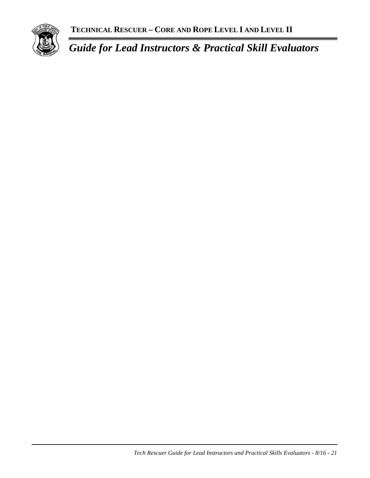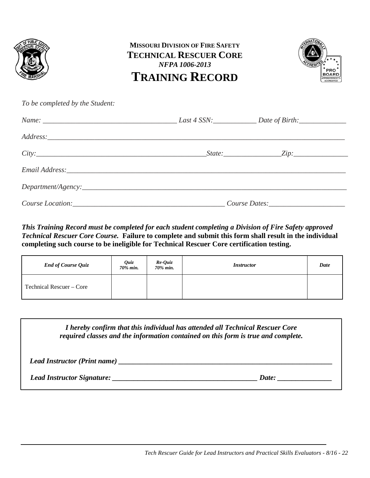

#### **MISSOURI DIVISION OF FIRE SAFETY TECHNICAL RESCUER CORE** *NFPA 1006-2013* **TRAINING RECORD**



*To be completed by the Student: Name:*  $Last\ 4\ SSN:$   $Date\ of\ Birth:$ *Address: City:* State:  $\Box$  *State:*  $\Box$  *Zip: Email Address: Department/Agency: Course Location: Course Dates:* 

*This Training Record must be completed for each student completing a Division of Fire Safety approved Technical Rescuer Core Course.* **Failure to complete and submit this form shall result in the individual completing such course to be ineligible for Technical Rescuer Core certification testing.**

| <b>End of Course Quiz</b> | Quiz<br>70% min. | $Re$ -Quiz<br>70% min. | <i>Instructor</i> | Date |
|---------------------------|------------------|------------------------|-------------------|------|
| Technical Rescuer – Core  |                  |                        |                   |      |

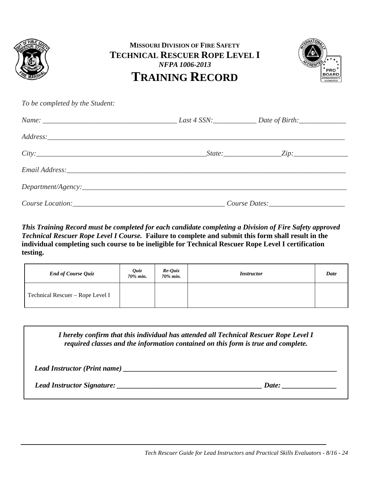

#### **MISSOURI DIVISION OF FIRE SAFETY TECHNICAL RESCUER ROPE LEVEL I** *NFPA 1006-2013* **TRAINING RECORD**



*To be completed by the Student:*

| City: | $State:$ $\qquad \qquad \text{Zip:}$ |
|-------|--------------------------------------|
|       |                                      |
|       |                                      |
|       |                                      |

*This Training Record must be completed for each candidate completing a Division of Fire Safety approved Technical Rescuer Rope Level I Course.* **Failure to complete and submit this form shall result in the individual completing such course to be ineligible for Technical Rescuer Rope Level I certification testing.**

| <b>End of Course Quiz</b>        | Quiz<br>70% min. | $Re-Quiz$<br>70% min. | <i>Instructor</i> | Date |
|----------------------------------|------------------|-----------------------|-------------------|------|
| Technical Rescuer – Rope Level I |                  |                       |                   |      |

| I hereby confirm that this individual has attended all Technical Rescuer Rope Level I<br>required classes and the information contained on this form is true and complete. |       |
|----------------------------------------------------------------------------------------------------------------------------------------------------------------------------|-------|
|                                                                                                                                                                            |       |
|                                                                                                                                                                            | Date: |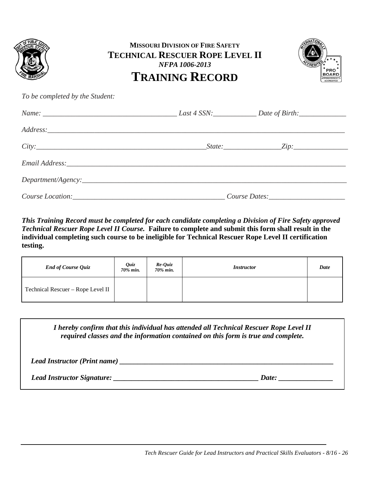

#### **MISSOURI DIVISION OF FIRE SAFETY TECHNICAL RESCUER ROPE LEVEL II** *NFPA 1006-2013* **TRAINING RECORD**



*To be completed by the Student:*

| City: | $State:$ $Zip:$ |  |
|-------|-----------------|--|
|       |                 |  |
|       |                 |  |
|       |                 |  |

*This Training Record must be completed for each candidate completing a Division of Fire Safety approved Technical Rescuer Rope Level II Course.* **Failure to complete and submit this form shall result in the individual completing such course to be ineligible for Technical Rescuer Rope Level II certification testing.**

| <b>End of Course Quiz</b>         | <i>Quiz</i><br>70% min. | $Re-Quiz$<br>70% min. | <i>Instructor</i> | Date |
|-----------------------------------|-------------------------|-----------------------|-------------------|------|
| Technical Rescuer – Rope Level II |                         |                       |                   |      |

| I hereby confirm that this individual has attended all Technical Rescuer Rope Level II<br>required classes and the information contained on this form is true and complete. |       |
|-----------------------------------------------------------------------------------------------------------------------------------------------------------------------------|-------|
| <b>Lead Instructor (Print name)</b> New York 1988 and 1988 and 1988 and 1988 and 1988 and 1988 and 1988 and 1988 and 19                                                     |       |
|                                                                                                                                                                             | Date: |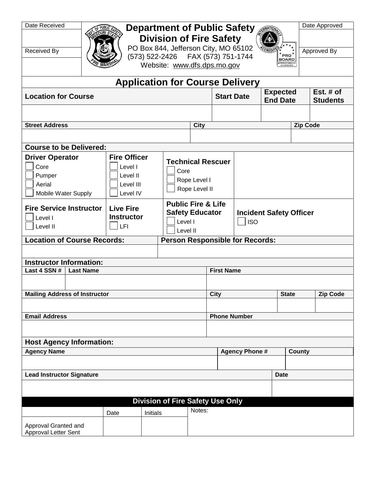| Date Received<br>Date Approved<br><b>Department of Public Safety</b><br><b>Division of Fire Safety</b><br>PO Box 844, Jefferson City, MO 65102<br><b>Received By</b><br>Approved By<br>$C$ RFD<br>PRO <sup>*</sup><br>(573) 522-2426    FAX (573) 751-1744<br><b>BOARD</b><br>Website: www.dfs.dps.mo.gov |                                                                                                                             |                                         |                                                                                |                                        |                     |                                              |                 |                 |                 |
|-----------------------------------------------------------------------------------------------------------------------------------------------------------------------------------------------------------------------------------------------------------------------------------------------------------|-----------------------------------------------------------------------------------------------------------------------------|-----------------------------------------|--------------------------------------------------------------------------------|----------------------------------------|---------------------|----------------------------------------------|-----------------|-----------------|-----------------|
|                                                                                                                                                                                                                                                                                                           | <b>Application for Course Delivery</b><br><b>Expected</b><br>Est. $#$ of<br><b>Location for Course</b><br><b>Start Date</b> |                                         |                                                                                |                                        |                     |                                              |                 |                 |                 |
|                                                                                                                                                                                                                                                                                                           |                                                                                                                             |                                         |                                                                                |                                        |                     |                                              | <b>End Date</b> |                 | <b>Students</b> |
|                                                                                                                                                                                                                                                                                                           |                                                                                                                             |                                         |                                                                                |                                        |                     |                                              |                 |                 |                 |
| <b>Street Address</b>                                                                                                                                                                                                                                                                                     |                                                                                                                             |                                         |                                                                                | <b>City</b>                            |                     |                                              |                 | <b>Zip Code</b> |                 |
| <b>Course to be Delivered:</b>                                                                                                                                                                                                                                                                            |                                                                                                                             |                                         |                                                                                |                                        |                     |                                              |                 |                 |                 |
| <b>Driver Operator</b>                                                                                                                                                                                                                                                                                    | <b>Fire Officer</b>                                                                                                         |                                         |                                                                                |                                        |                     |                                              |                 |                 |                 |
| Core                                                                                                                                                                                                                                                                                                      | Level I                                                                                                                     |                                         | <b>Technical Rescuer</b>                                                       |                                        |                     |                                              |                 |                 |                 |
| Pumper                                                                                                                                                                                                                                                                                                    | Level II                                                                                                                    |                                         | Core                                                                           |                                        |                     |                                              |                 |                 |                 |
| Aerial                                                                                                                                                                                                                                                                                                    | Level III                                                                                                                   |                                         |                                                                                | Rope Level I                           |                     |                                              |                 |                 |                 |
| Mobile Water Supply                                                                                                                                                                                                                                                                                       | Level IV                                                                                                                    |                                         |                                                                                | Rope Level II                          |                     |                                              |                 |                 |                 |
| <b>Fire Service Instructor</b><br>Level I<br>Level II                                                                                                                                                                                                                                                     | <b>Live Fire</b><br><b>Instructor</b><br> LFI                                                                               |                                         | <b>Public Fire &amp; Life</b><br><b>Safety Educator</b><br>Level I<br>Level II |                                        |                     | <b>Incident Safety Officer</b><br><b>ISO</b> |                 |                 |                 |
| <b>Location of Course Records:</b>                                                                                                                                                                                                                                                                        |                                                                                                                             |                                         |                                                                                | <b>Person Responsible for Records:</b> |                     |                                              |                 |                 |                 |
|                                                                                                                                                                                                                                                                                                           |                                                                                                                             |                                         |                                                                                |                                        |                     |                                              |                 |                 |                 |
| <b>Instructor Information:</b>                                                                                                                                                                                                                                                                            |                                                                                                                             |                                         |                                                                                |                                        |                     |                                              |                 |                 |                 |
| Last 4 SSN #<br><b>Last Name</b>                                                                                                                                                                                                                                                                          |                                                                                                                             |                                         |                                                                                |                                        | <b>First Name</b>   |                                              |                 |                 |                 |
|                                                                                                                                                                                                                                                                                                           |                                                                                                                             |                                         |                                                                                |                                        |                     |                                              |                 |                 |                 |
| <b>Mailing Address of Instructor</b>                                                                                                                                                                                                                                                                      |                                                                                                                             |                                         |                                                                                | <b>City</b><br><b>State</b>            |                     |                                              |                 |                 | <b>Zip Code</b> |
|                                                                                                                                                                                                                                                                                                           |                                                                                                                             |                                         |                                                                                |                                        |                     |                                              |                 |                 |                 |
| <b>Email Address</b>                                                                                                                                                                                                                                                                                      |                                                                                                                             |                                         |                                                                                |                                        | <b>Phone Number</b> |                                              |                 |                 |                 |
|                                                                                                                                                                                                                                                                                                           |                                                                                                                             |                                         |                                                                                |                                        |                     |                                              |                 |                 |                 |
|                                                                                                                                                                                                                                                                                                           |                                                                                                                             |                                         |                                                                                |                                        |                     |                                              |                 |                 |                 |
| <b>Host Agency Information:</b><br><b>Agency Name</b>                                                                                                                                                                                                                                                     |                                                                                                                             |                                         |                                                                                |                                        |                     | <b>Agency Phone #</b>                        |                 | <b>County</b>   |                 |
|                                                                                                                                                                                                                                                                                                           |                                                                                                                             |                                         |                                                                                |                                        |                     |                                              |                 |                 |                 |
| <b>Lead Instructor Signature</b>                                                                                                                                                                                                                                                                          |                                                                                                                             |                                         |                                                                                |                                        |                     |                                              | <b>Date</b>     |                 |                 |
|                                                                                                                                                                                                                                                                                                           |                                                                                                                             |                                         |                                                                                |                                        |                     |                                              |                 |                 |                 |
|                                                                                                                                                                                                                                                                                                           |                                                                                                                             |                                         |                                                                                |                                        |                     |                                              |                 |                 |                 |
|                                                                                                                                                                                                                                                                                                           |                                                                                                                             | <b>Division of Fire Safety Use Only</b> |                                                                                | Notes:                                 |                     |                                              |                 |                 |                 |
|                                                                                                                                                                                                                                                                                                           | Date                                                                                                                        | Initials                                |                                                                                |                                        |                     |                                              |                 |                 |                 |
| Approval Granted and<br><b>Approval Letter Sent</b>                                                                                                                                                                                                                                                       |                                                                                                                             |                                         |                                                                                |                                        |                     |                                              |                 |                 |                 |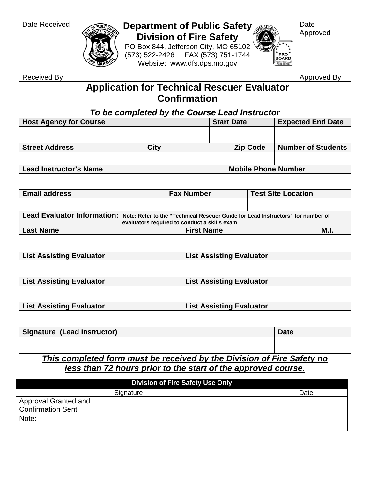

#### *To be completed by the Course Lead Instructor*

| <b>Host Agency for Course</b>                                                                               |             | <b>Start Date</b>                            |  |  | <b>Expected End Date</b> |                            |      |
|-------------------------------------------------------------------------------------------------------------|-------------|----------------------------------------------|--|--|--------------------------|----------------------------|------|
|                                                                                                             |             |                                              |  |  |                          |                            |      |
|                                                                                                             |             |                                              |  |  |                          |                            |      |
| <b>Street Address</b>                                                                                       | <b>City</b> |                                              |  |  | <b>Zip Code</b>          | <b>Number of Students</b>  |      |
|                                                                                                             |             |                                              |  |  |                          |                            |      |
| <b>Lead Instructor's Name</b>                                                                               |             |                                              |  |  |                          | <b>Mobile Phone Number</b> |      |
|                                                                                                             |             |                                              |  |  |                          |                            |      |
| <b>Email address</b>                                                                                        |             | <b>Fax Number</b>                            |  |  |                          | <b>Test Site Location</b>  |      |
|                                                                                                             |             |                                              |  |  |                          |                            |      |
| Lead Evaluator Information: Note: Refer to the "Technical Rescuer Guide for Lead Instructors" for number of |             | evaluators required to conduct a skills exam |  |  |                          |                            |      |
| <b>Last Name</b>                                                                                            |             | <b>First Name</b>                            |  |  |                          |                            | M.I. |
|                                                                                                             |             |                                              |  |  |                          |                            |      |
| <b>List Assisting Evaluator</b>                                                                             |             | <b>List Assisting Evaluator</b>              |  |  |                          |                            |      |
|                                                                                                             |             |                                              |  |  |                          |                            |      |
| <b>List Assisting Evaluator</b>                                                                             |             | <b>List Assisting Evaluator</b>              |  |  |                          |                            |      |
|                                                                                                             |             |                                              |  |  |                          |                            |      |
| <b>List Assisting Evaluator</b>                                                                             |             | <b>List Assisting Evaluator</b>              |  |  |                          |                            |      |
|                                                                                                             |             |                                              |  |  |                          |                            |      |
| Signature (Lead Instructor)                                                                                 |             |                                              |  |  |                          | <b>Date</b>                |      |
|                                                                                                             |             |                                              |  |  |                          |                            |      |

*This completed form must be received by the Division of Fire Safety no less than 72 hours prior to the start of the approved course.*

| <b>Division of Fire Safety Use Only</b>                 |           |      |  |  |  |  |
|---------------------------------------------------------|-----------|------|--|--|--|--|
|                                                         | Signature | Date |  |  |  |  |
| <b>Approval Granted and</b><br><b>Confirmation Sent</b> |           |      |  |  |  |  |
| Note:                                                   |           |      |  |  |  |  |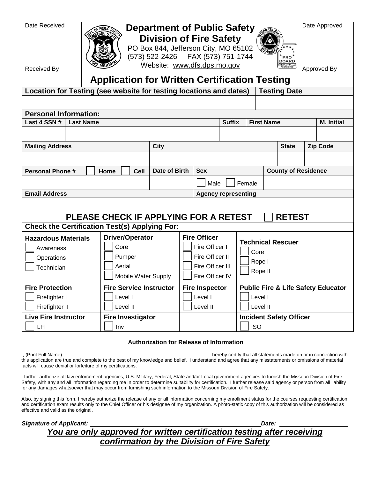| Date Received<br>Date Approved<br><b>Department of Public Safety</b><br><b>Division of Fire Safety</b><br>PO Box 844, Jefferson City, MO 65102<br>(573) 522-2426    FAX (573) 751-1744<br>PRO<br><b>BOARD</b><br>Website: www.dfs.dps.mo.gov<br>Approved By<br>Received By<br><b>Application for Written Certification Testing</b><br>Location for Testing (see website for testing locations and dates)<br><b>Testing Date</b><br><b>Personal Information:</b> |                                                                           |               |                                                                                                 |                            |                           |                                               |  |                   |
|-----------------------------------------------------------------------------------------------------------------------------------------------------------------------------------------------------------------------------------------------------------------------------------------------------------------------------------------------------------------------------------------------------------------------------------------------------------------|---------------------------------------------------------------------------|---------------|-------------------------------------------------------------------------------------------------|----------------------------|---------------------------|-----------------------------------------------|--|-------------------|
| Last 4 SSN #<br><b>Last Name</b>                                                                                                                                                                                                                                                                                                                                                                                                                                |                                                                           |               |                                                                                                 | <b>Suffix</b>              |                           | <b>First Name</b>                             |  | <b>M. Initial</b> |
|                                                                                                                                                                                                                                                                                                                                                                                                                                                                 |                                                                           |               |                                                                                                 |                            |                           |                                               |  |                   |
|                                                                                                                                                                                                                                                                                                                                                                                                                                                                 |                                                                           |               |                                                                                                 |                            |                           |                                               |  |                   |
| <b>Mailing Address</b>                                                                                                                                                                                                                                                                                                                                                                                                                                          |                                                                           | <b>City</b>   |                                                                                                 |                            |                           | <b>State</b>                                  |  | <b>Zip Code</b>   |
|                                                                                                                                                                                                                                                                                                                                                                                                                                                                 |                                                                           |               |                                                                                                 |                            |                           |                                               |  |                   |
| <b>Personal Phone #</b>                                                                                                                                                                                                                                                                                                                                                                                                                                         | <b>Cell</b><br>Home                                                       | Date of Birth | <b>Sex</b>                                                                                      |                            |                           | <b>County of Residence</b>                    |  |                   |
|                                                                                                                                                                                                                                                                                                                                                                                                                                                                 |                                                                           |               | Male                                                                                            |                            | Female                    |                                               |  |                   |
| <b>Email Address</b>                                                                                                                                                                                                                                                                                                                                                                                                                                            |                                                                           |               |                                                                                                 | <b>Agency representing</b> |                           |                                               |  |                   |
|                                                                                                                                                                                                                                                                                                                                                                                                                                                                 |                                                                           |               |                                                                                                 |                            |                           |                                               |  |                   |
|                                                                                                                                                                                                                                                                                                                                                                                                                                                                 | PLEASE CHECK IF APPLYING FOR A RETEST                                     |               |                                                                                                 |                            |                           | <b>RETEST</b>                                 |  |                   |
| <b>Check the Certification Test(s) Applying For:</b>                                                                                                                                                                                                                                                                                                                                                                                                            |                                                                           |               |                                                                                                 |                            |                           |                                               |  |                   |
| <b>Hazardous Materials</b><br>Awareness<br>Operations<br>Technician                                                                                                                                                                                                                                                                                                                                                                                             | <b>Driver/Operator</b><br>Core<br>Pumper<br>Aerial<br>Mobile Water Supply |               | <b>Fire Officer</b><br>Fire Officer I<br>Fire Officer II<br>Fire Officer III<br>Fire Officer IV |                            | Core<br>Rope I<br>Rope II | <b>Technical Rescuer</b>                      |  |                   |
| <b>Fire Protection</b>                                                                                                                                                                                                                                                                                                                                                                                                                                          | <b>Fire Service Instructor</b>                                            |               | <b>Fire Inspector</b>                                                                           |                            |                           | <b>Public Fire &amp; Life Safety Educator</b> |  |                   |
| Firefighter I                                                                                                                                                                                                                                                                                                                                                                                                                                                   | Level I                                                                   |               | Level I                                                                                         |                            | Level I                   |                                               |  |                   |
| Firefighter II                                                                                                                                                                                                                                                                                                                                                                                                                                                  | Level II                                                                  |               | Level II                                                                                        |                            | Level II                  |                                               |  |                   |
| <b>Live Fire Instructor</b>                                                                                                                                                                                                                                                                                                                                                                                                                                     | <b>Fire Investigator</b>                                                  |               |                                                                                                 |                            |                           | <b>Incident Safety Officer</b>                |  |                   |
| LFI                                                                                                                                                                                                                                                                                                                                                                                                                                                             | Inv                                                                       |               |                                                                                                 |                            | <b>ISO</b>                |                                               |  |                   |

#### **Authorization for Release of Information**

I, (Print Full Name)\_\_\_\_\_\_\_\_\_\_\_\_\_\_\_\_\_\_\_\_\_\_\_\_\_\_\_\_\_\_\_\_\_\_\_\_\_\_\_\_\_\_\_\_\_\_\_\_\_\_\_\_\_\_\_\_hereby certify that all statements made on or in connection with this application are true and complete to the best of my knowledge and belief. I understand and agree that any misstatements or omissions of material facts will cause denial or forfeiture of my certifications.

I further authorize all law enforcement agencies, U.S. Military, Federal, State and/or Local government agencies to furnish the Missouri Division of Fire Safety, with any and all information regarding me in order to determine suitability for certification. I further release said agency or person from all liability for any damages whatsoever that may occur from furnishing such information to the Missouri Division of Fire Safety.

Also, by signing this form, I hereby authorize the release of any or all information concerning my enrollment status for the courses requesting certification and certification exam results only to the Chief Officer or his designee of my organization. A photo-static copy of this authorization will be considered as effective and valid as the original.

#### *Signature of Applicant: Date: You are only approved for written certification testing after receiving confirmation by the Division of Fire Safety*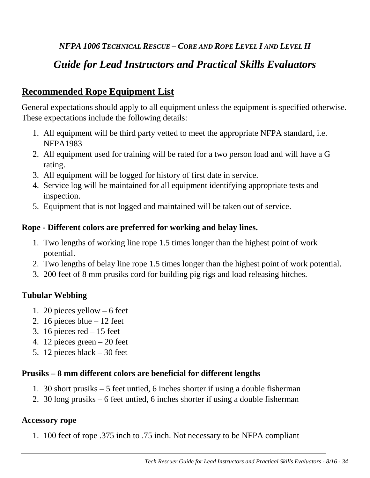## *Guide for Lead Instructors and Practical Skills Evaluators*

## **Recommended Rope Equipment List**

General expectations should apply to all equipment unless the equipment is specified otherwise. These expectations include the following details:

- 1. All equipment will be third party vetted to meet the appropriate NFPA standard, i.e. NFPA1983
- 2. All equipment used for training will be rated for a two person load and will have a G rating.
- 3. All equipment will be logged for history of first date in service.
- 4. Service log will be maintained for all equipment identifying appropriate tests and inspection.
- 5. Equipment that is not logged and maintained will be taken out of service.

#### **Rope - Different colors are preferred for working and belay lines.**

- 1. Two lengths of working line rope 1.5 times longer than the highest point of work potential.
- 2. Two lengths of belay line rope 1.5 times longer than the highest point of work potential.
- 3. 200 feet of 8 mm prusiks cord for building pig rigs and load releasing hitches.

#### **Tubular Webbing**

- 1. 20 pieces yellow 6 feet
- 2. 16 pieces blue  $-12$  feet
- 3. 16 pieces  $red 15$  feet
- 4. 12 pieces green 20 feet
- 5. 12 pieces black 30 feet

#### **Prusiks – 8 mm different colors are beneficial for different lengths**

- 1. 30 short prusiks 5 feet untied, 6 inches shorter if using a double fisherman
- 2. 30 long prusiks 6 feet untied, 6 inches shorter if using a double fisherman

#### **Accessory rope**

1. 100 feet of rope .375 inch to .75 inch. Not necessary to be NFPA compliant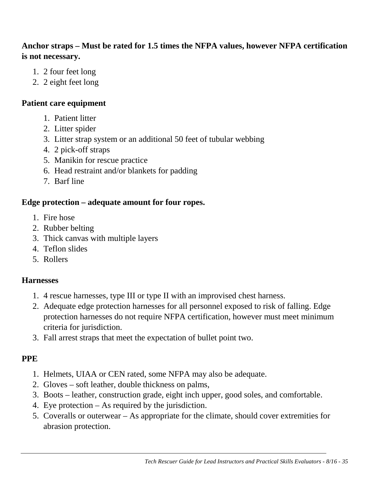#### **Anchor straps – Must be rated for 1.5 times the NFPA values, however NFPA certification is not necessary.**

- 1. 2 four feet long
- 2. 2 eight feet long

#### **Patient care equipment**

- 1. Patient litter
- 2. Litter spider
- 3. Litter strap system or an additional 50 feet of tubular webbing
- 4. 2 pick-off straps
- 5. Manikin for rescue practice
- 6. Head restraint and/or blankets for padding
- 7. Barf line

#### **Edge protection – adequate amount for four ropes.**

- 1. Fire hose
- 2. Rubber belting
- 3. Thick canvas with multiple layers
- 4. Teflon slides
- 5. Rollers

#### **Harnesses**

- 1. 4 rescue harnesses, type III or type II with an improvised chest harness.
- 2. Adequate edge protection harnesses for all personnel exposed to risk of falling. Edge protection harnesses do not require NFPA certification, however must meet minimum criteria for jurisdiction.
- 3. Fall arrest straps that meet the expectation of bullet point two.

### **PPE**

- 1. Helmets, UIAA or CEN rated, some NFPA may also be adequate.
- 2. Gloves soft leather, double thickness on palms,
- 3. Boots leather, construction grade, eight inch upper, good soles, and comfortable.
- 4. Eye protection As required by the jurisdiction.
- 5. Coveralls or outerwear As appropriate for the climate, should cover extremities for abrasion protection.